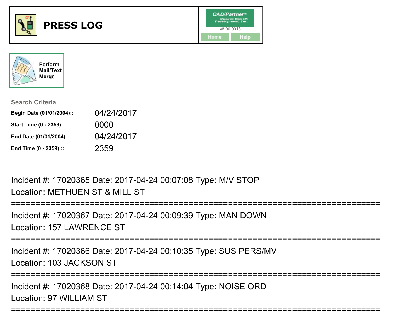



| <b>Search Criteria</b>    |            |
|---------------------------|------------|
| Begin Date (01/01/2004):: | 04/24/2017 |
| Start Time (0 - 2359) ::  | 0000       |
| End Date (01/01/2004)::   | 04/24/2017 |
| End Time (0 - 2359) ::    | 2359       |

Incident #: 17020365 Date: 2017-04-24 00:07:08 Type: M/V STOPLocation: METHUEN ST & MILL ST

===========================================================================Incident #: 17020367 Date: 2017-04-24 00:09:39 Type: MAN DOWNLocation: 157 LAWRENCE ST===========================================================================Incident #: 17020366 Date: 2017-04-24 00:10:35 Type: SUS PERS/MVLocation: 103 JACKSON ST===========================================================================Incident #: 17020368 Date: 2017-04-24 00:14:04 Type: NOISE ORDLocation: 97 WILLIAM ST

===========================================================================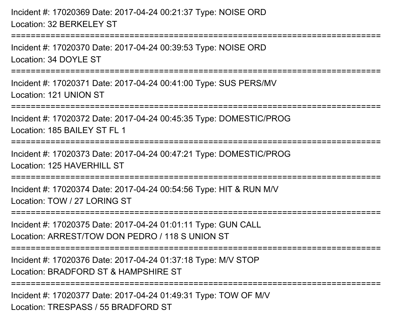Incident #: 17020369 Date: 2017-04-24 00:21:37 Type: NOISE ORDLocation: 32 BERKELEY ST

===========================================================================

Incident #: 17020370 Date: 2017-04-24 00:39:53 Type: NOISE ORDLocation: 34 DOYLE ST

===========================================================================

Incident #: 17020371 Date: 2017-04-24 00:41:00 Type: SUS PERS/MVLocation: 121 UNION ST

===========================================================================

Incident #: 17020372 Date: 2017-04-24 00:45:35 Type: DOMESTIC/PROGLocation: 185 BAILEY ST FL 1

===========================================================================

Incident #: 17020373 Date: 2017-04-24 00:47:21 Type: DOMESTIC/PROGLocation: 125 HAVERHILL ST

===========================================================================

Incident #: 17020374 Date: 2017-04-24 00:54:56 Type: HIT & RUN M/VLocation: TOW / 27 LORING ST

===========================================================================

Incident #: 17020375 Date: 2017-04-24 01:01:11 Type: GUN CALLLocation: ARREST/TOW DON PEDRO / 118 S UNION ST

===========================================================================

Incident #: 17020376 Date: 2017-04-24 01:37:18 Type: M/V STOP

Location: BRADFORD ST & HAMPSHIRE ST

**===============** 

Incident #: 17020377 Date: 2017-04-24 01:49:31 Type: TOW OF M/VLocation: TRESPASS / 55 BRADFORD ST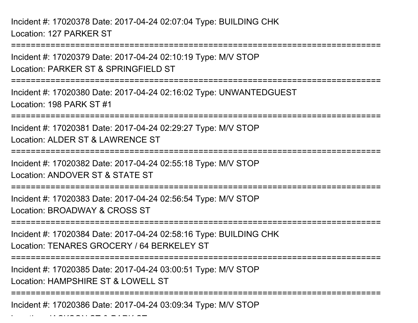Incident #: 17020378 Date: 2017-04-24 02:07:04 Type: BUILDING CHKLocation: 127 PARKER ST

 $\mathcal{L}$   $\mathcal{L}$   $\mathcal{L}$   $\mathcal{L}$   $\mathcal{L}$   $\mathcal{L}$   $\mathcal{L}$   $\mathcal{L}$   $\mathcal{L}$   $\mathcal{L}$   $\mathcal{L}$   $\mathcal{L}$   $\mathcal{L}$   $\mathcal{L}$   $\mathcal{L}$   $\mathcal{L}$   $\mathcal{L}$   $\mathcal{L}$   $\mathcal{L}$   $\mathcal{L}$   $\mathcal{L}$   $\mathcal{L}$   $\mathcal{L}$   $\mathcal{L}$   $\mathcal{$ 

===========================================================================Incident #: 17020379 Date: 2017-04-24 02:10:19 Type: M/V STOPLocation: PARKER ST & SPRINGFIELD ST===========================================================================Incident #: 17020380 Date: 2017-04-24 02:16:02 Type: UNWANTEDGUESTLocation: 198 PARK ST #1===========================================================================Incident #: 17020381 Date: 2017-04-24 02:29:27 Type: M/V STOPLocation: ALDER ST & LAWRENCE ST ===========================================================================Incident #: 17020382 Date: 2017-04-24 02:55:18 Type: M/V STOPLocation: ANDOVER ST & STATE ST===========================================================================Incident #: 17020383 Date: 2017-04-24 02:56:54 Type: M/V STOPLocation: BROADWAY & CROSS ST===========================================================================Incident #: 17020384 Date: 2017-04-24 02:58:16 Type: BUILDING CHKLocation: TENARES GROCERY / 64 BERKELEY ST===========================================================================Incident #: 17020385 Date: 2017-04-24 03:00:51 Type: M/V STOPLocation: HAMPSHIRE ST & LOWELL ST===========================================================================Incident #: 17020386 Date: 2017-04-24 03:09:34 Type: M/V STOP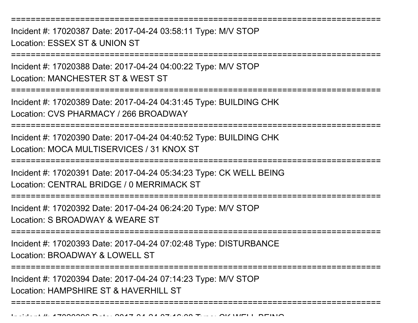Incident #: 17020387 Date: 2017-04-24 03:58:11 Type: M/V STOPLocation: ESSEX ST & UNION ST

===========================================================================

Incident #: 17020388 Date: 2017-04-24 04:00:22 Type: M/V STOPLocation: MANCHESTER ST & WEST ST

===========================================================================

Incident #: 17020389 Date: 2017-04-24 04:31:45 Type: BUILDING CHKLocation: CVS PHARMACY / 266 BROADWAY

===========================================================================

Incident #: 17020390 Date: 2017-04-24 04:40:52 Type: BUILDING CHKLocation: MOCA MULTISERVICES / 31 KNOX ST

===========================================================================

Incident #: 17020391 Date: 2017-04-24 05:34:23 Type: CK WELL BEINGLocation: CENTRAL BRIDGE / 0 MERRIMACK ST

===========================================================================

Incident #: 17020392 Date: 2017-04-24 06:24:20 Type: M/V STOP

Location: S BROADWAY & WEARE ST

===========================================================================

Incident #: 17020393 Date: 2017-04-24 07:02:48 Type: DISTURBANCELocation: BROADWAY & LOWELL ST

===========================================================================

===========================================================================

Incident #: 17020394 Date: 2017-04-24 07:14:23 Type: M/V STOP

Location: HAMPSHIRE ST & HAVERHILL ST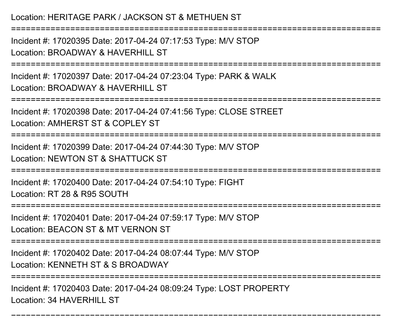# Location: HERITAGE PARK / JACKSON ST & METHUEN ST===========================================================================Incident #: 17020395 Date: 2017-04-24 07:17:53 Type: M/V STOPLocation: BROADWAY & HAVERHILL ST ===========================================================================Incident #: 17020397 Date: 2017-04-24 07:23:04 Type: PARK & WALKLocation: BROADWAY & HAVERHILL ST ===========================================================================Incident #: 17020398 Date: 2017-04-24 07:41:56 Type: CLOSE STREETLocation: AMHERST ST & COPLEY ST ===========================================================================Incident #: 17020399 Date: 2017-04-24 07:44:30 Type: M/V STOPLocation: NEWTON ST & SHATTUCK ST===========================================================================Incident #: 17020400 Date: 2017-04-24 07:54:10 Type: FIGHTLocation: RT 28 & R95 SOUTH===========================================================================Incident #: 17020401 Date: 2017-04-24 07:59:17 Type: M/V STOPLocation: BEACON ST & MT VERNON ST===========================================================================Incident #: 17020402 Date: 2017-04-24 08:07:44 Type: M/V STOPLocation: KENNETH ST & S BROADWAY==================== Incident #: 17020403 Date: 2017-04-24 08:09:24 Type: LOST PROPERTYLocation: 34 HAVERHILL ST

===========================================================================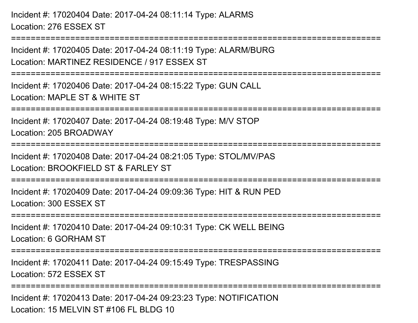Incident #: 17020404 Date: 2017-04-24 08:11:14 Type: ALARMSLocation: 276 ESSEX ST

================

Incident #: 17020405 Date: 2017-04-24 08:11:19 Type: ALARM/BURGLocation: MARTINEZ RESIDENCE / 917 ESSEX ST===========================================================================Incident #: 17020406 Date: 2017-04-24 08:15:22 Type: GUN CALLLocation: MAPLE ST & WHITE ST===========================================================================Incident #: 17020407 Date: 2017-04-24 08:19:48 Type: M/V STOPLocation: 205 BROADWAY===========================================================================Incident #: 17020408 Date: 2017-04-24 08:21:05 Type: STOL/MV/PASLocation: BROOKFIELD ST & FARLEY ST===========================================================================Incident #: 17020409 Date: 2017-04-24 09:09:36 Type: HIT & RUN PEDLocation: 300 ESSEX ST===========================================================================Incident #: 17020410 Date: 2017-04-24 09:10:31 Type: CK WELL BEINGLocation: 6 GORHAM ST===========================================================================Incident #: 17020411 Date: 2017-04-24 09:15:49 Type: TRESPASSINGLocation: 572 ESSEX ST================== Incident #: 17020413 Date: 2017-04-24 09:23:23 Type: NOTIFICATIONLocation: 15 MELVIN ST #106 FL BLDG 10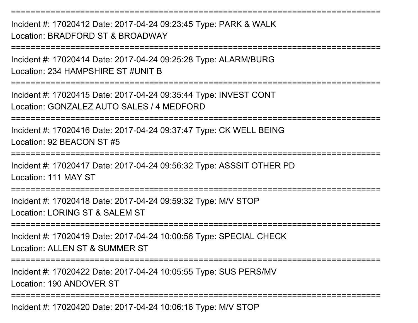Incident #: 17020412 Date: 2017-04-24 09:23:45 Type: PARK & WALKLocation: BRADFORD ST & BROADWAY

===========================================================================

===========================================================================

Incident #: 17020414 Date: 2017-04-24 09:25:28 Type: ALARM/BURGLocation: 234 HAMPSHIRE ST #UNIT B

===========================================================================

Incident #: 17020415 Date: 2017-04-24 09:35:44 Type: INVEST CONTLocation: GONZALEZ AUTO SALES / 4 MEDFORD

===========================================================================

Incident #: 17020416 Date: 2017-04-24 09:37:47 Type: CK WELL BEINGLocation: 92 BEACON ST #5

===========================================================================

Incident #: 17020417 Date: 2017-04-24 09:56:32 Type: ASSSIT OTHER PDLocation: 111 MAY ST

===========================================================================

Incident #: 17020418 Date: 2017-04-24 09:59:32 Type: M/V STOPLocation: LORING ST & SALEM ST

**=============** 

Incident #: 17020419 Date: 2017-04-24 10:00:56 Type: SPECIAL CHECKLocation: ALLEN ST & SUMMER ST

===========================================================================

Incident #: 17020422 Date: 2017-04-24 10:05:55 Type: SUS PERS/MVLocation: 190 ANDOVER ST

===========================================================================

Incident #: 17020420 Date: 2017-04-24 10:06:16 Type: M/V STOP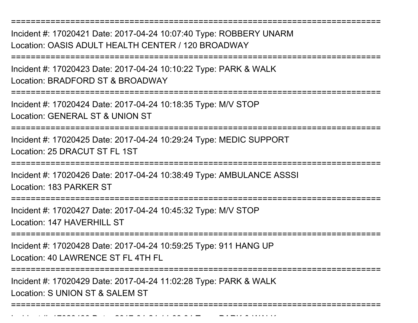Incident #: 17020421 Date: 2017-04-24 10:07:40 Type: ROBBERY UNARMLocation: OASIS ADULT HEALTH CENTER / 120 BROADWAY

===========================================================================

===========================================================================

Incident #: 17020423 Date: 2017-04-24 10:10:22 Type: PARK & WALKLocation: BRADFORD ST & BROADWAY

===========================================================================

Incident #: 17020424 Date: 2017-04-24 10:18:35 Type: M/V STOP

Location: GENERAL ST & UNION ST

===========================================================================

Incident #: 17020425 Date: 2017-04-24 10:29:24 Type: MEDIC SUPPORTLocation: 25 DRACUT ST FL 1ST

===========================================================================

Incident #: 17020426 Date: 2017-04-24 10:38:49 Type: AMBULANCE ASSSILocation: 183 PARKER ST

===========================================================================

Incident #: 17020427 Date: 2017-04-24 10:45:32 Type: M/V STOP

Location: 147 HAVERHILL ST

Incident #: 17020430 Date: 2017

===========================================================================

Incident #: 17020428 Date: 2017-04-24 10:59:25 Type: 911 HANG UP

Location: 40 LAWRENCE ST FL 4TH FL

===========================================================================

Incident #: 17020429 Date: 2017-04-24 11:02:28 Type: PARK & WALKLocation: S UNION ST & SAI FM ST

===========================================================================

<sup>04</sup> 24 11:03:04 Type: PARK & WALK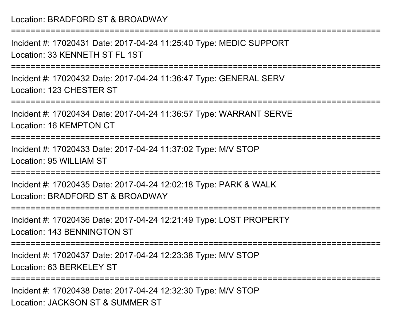#### Location: BRADFORD ST & BROADWAY

Incident #: 17020431 Date: 2017-04-24 11:25:40 Type: MEDIC SUPPORTLocation: 33 KENNETH ST FL 1ST

===========================================================================

===========================================================================

Incident #: 17020432 Date: 2017-04-24 11:36:47 Type: GENERAL SERVLocation: 123 CHESTER ST

===========================================================================

Incident #: 17020434 Date: 2017-04-24 11:36:57 Type: WARRANT SERVELocation: 16 KEMPTON CT

===========================================================================

Incident #: 17020433 Date: 2017-04-24 11:37:02 Type: M/V STOPLocation: 95 WILLIAM ST

===========================================================================

Incident #: 17020435 Date: 2017-04-24 12:02:18 Type: PARK & WALKLocation: BRADFORD ST & BROADWAY

**=================** 

Incident #: 17020436 Date: 2017-04-24 12:21:49 Type: LOST PROPERTYLocation: 143 BENNINGTON ST

===========================================================================

Incident #: 17020437 Date: 2017-04-24 12:23:38 Type: M/V STOPLocation: 63 BERKELEY ST

===========================================================================

Incident #: 17020438 Date: 2017-04-24 12:32:30 Type: M/V STOPLocation: JACKSON ST & SUMMER ST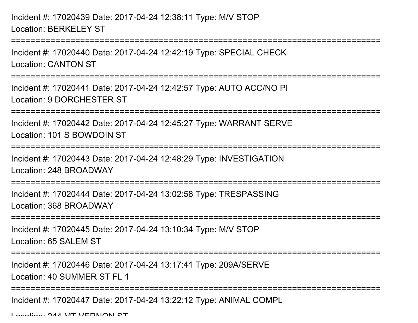Incident #: 17020439 Date: 2017-04-24 12:38:11 Type: M/V STOPLocation: BERKELEY ST

Incident #: 17020440 Date: 2017-04-24 12:42:19 Type: SPECIAL CHECKLocation: CANTON ST

===========================================================================

===========================================================================

Incident #: 17020441 Date: 2017-04-24 12:42:57 Type: AUTO ACC/NO PILocation: 9 DORCHESTER ST

===========================================================================

Incident #: 17020442 Date: 2017-04-24 12:45:27 Type: WARRANT SERVELocation: 101 S BOWDOIN ST

===========================================================================

Incident #: 17020443 Date: 2017-04-24 12:48:29 Type: INVESTIGATION

Location: 248 BROADWAY

===========================================================================

Incident #: 17020444 Date: 2017-04-24 13:02:58 Type: TRESPASSINGLocation: 368 BROADWAY

===========================================================================

Incident #: 17020445 Date: 2017-04-24 13:10:34 Type: M/V STOPLocation: 65 SALEM ST

===========================================================================

Incident #: 17020446 Date: 2017-04-24 13:17:41 Type: 209A/SERVE

Location: 40 SUMMER ST FL 1

===========================================================================

Incident #: 17020447 Date: 2017-04-24 13:22:12 Type: ANIMAL COMPL

Location: 244 MT VEDNON CT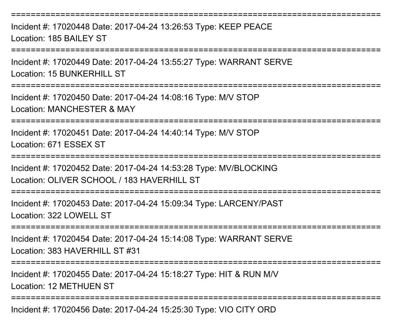Incident #: 17020448 Date: 2017-04-24 13:26:53 Type: KEEP PEACELocation: 185 BAILEY ST

===========================================================================

Incident #: 17020449 Date: 2017-04-24 13:55:27 Type: WARRANT SERVELocation: 15 BUNKERHILL ST

===========================================================================

Incident #: 17020450 Date: 2017-04-24 14:08:16 Type: M/V STOPLocation: MANCHESTER & MAY

===========================================================================

Incident #: 17020451 Date: 2017-04-24 14:40:14 Type: M/V STOPLocation: 671 ESSEX ST

===========================

Incident #: 17020452 Date: 2017-04-24 14:53:28 Type: MV/BLOCKINGLocation: OLIVER SCHOOL / 183 HAVERHILL ST

===========================================================================

Incident #: 17020453 Date: 2017-04-24 15:09:34 Type: LARCENY/PASTLocation: 322 LOWELL ST

====================

Incident #: 17020454 Date: 2017-04-24 15:14:08 Type: WARRANT SERVELocation: 383 HAVERHILL ST #31

===========================================================================

Incident #: 17020455 Date: 2017-04-24 15:18:27 Type: HIT & RUN M/VLocation: 12 METHUEN ST

===========================================================================

Incident #: 17020456 Date: 2017-04-24 15:25:30 Type: VIO CITY ORD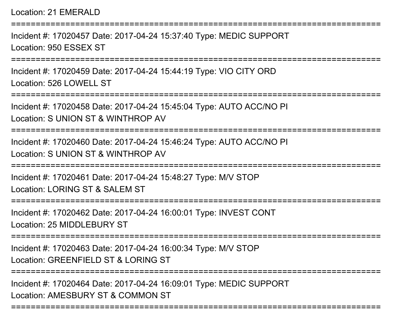===========================================================================Incident #: 17020457 Date: 2017-04-24 15:37:40 Type: MEDIC SUPPORTLocation: 950 ESSEX ST===========================================================================Incident #: 17020459 Date: 2017-04-24 15:44:19 Type: VIO CITY ORDLocation: 526 LOWELL ST===========================================================================Incident #: 17020458 Date: 2017-04-24 15:45:04 Type: AUTO ACC/NO PILocation: S UNION ST & WINTHROP AV===========================================================================Incident #: 17020460 Date: 2017-04-24 15:46:24 Type: AUTO ACC/NO PILocation: S UNION ST & WINTHROP AV============= Incident #: 17020461 Date: 2017-04-24 15:48:27 Type: M/V STOPLocation: LORING ST & SAI FM ST ===========================================================================Incident #: 17020462 Date: 2017-04-24 16:00:01 Type: INVEST CONTLocation: 25 MIDDLEBURY ST ===========================================================================Incident #: 17020463 Date: 2017-04-24 16:00:34 Type: M/V STOPLocation: GREENFIELD ST & LORING ST ===========================================================================Incident #: 17020464 Date: 2017-04-24 16:09:01 Type: MEDIC SUPPORT

===========================================================================

Location: AMESBURY ST & COMMON ST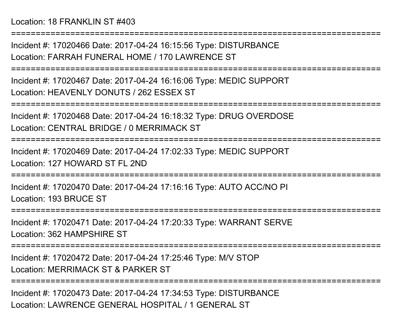Incident #: 17020466 Date: 2017-04-24 16:15:56 Type: DISTURBANCELocation: FARRAH FUNERAL HOME / 170 LAWRENCE ST

===========================================================================

===========================================================================

Incident #: 17020467 Date: 2017-04-24 16:16:06 Type: MEDIC SUPPORTLocation: HEAVENLY DONUTS / 262 ESSEX ST

===========================================================================

Incident #: 17020468 Date: 2017-04-24 16:18:32 Type: DRUG OVERDOSELocation: CENTRAL BRIDGE / 0 MERRIMACK ST

===========================================================================

Incident #: 17020469 Date: 2017-04-24 17:02:33 Type: MEDIC SUPPORTLocation: 127 HOWARD ST FL 2ND

===========================================================================

Incident #: 17020470 Date: 2017-04-24 17:16:16 Type: AUTO ACC/NO PILocation: 193 BRUCE ST

===========================================================================

Incident #: 17020471 Date: 2017-04-24 17:20:33 Type: WARRANT SERVELocation: 362 HAMPSHIRE ST

===========================================================================

Incident #: 17020472 Date: 2017-04-24 17:25:46 Type: M/V STOPLocation: MERRIMACK ST & PARKER ST

===========================================================================

Incident #: 17020473 Date: 2017-04-24 17:34:53 Type: DISTURBANCELocation: LAWRENCE GENERAL HOSPITAL / 1 GENERAL ST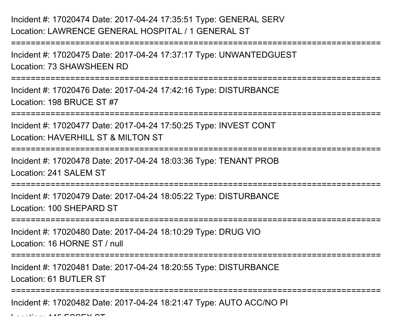## Incident #: 17020474 Date: 2017-04-24 17:35:51 Type: GENERAL SERVLocation: LAWRENCE GENERAL HOSPITAL / 1 GENERAL ST

===========================================================================Incident #: 17020475 Date: 2017-04-24 17:37:17 Type: UNWANTEDGUESTLocation: 73 SHAWSHEEN RD===========================================================================

Incident #: 17020476 Date: 2017-04-24 17:42:16 Type: DISTURBANCELocation: 198 BRUCE ST #7

===========================================================================

Incident #: 17020477 Date: 2017-04-24 17:50:25 Type: INVEST CONTLocation: HAVERHILL ST & MILTON ST

===========================================================================

Incident #: 17020478 Date: 2017-04-24 18:03:36 Type: TENANT PROBLocation: 241 SALEM ST

===========================================================================

Incident #: 17020479 Date: 2017-04-24 18:05:22 Type: DISTURBANCELocation: 100 SHEPARD ST

===========================================================================

Incident #: 17020480 Date: 2017-04-24 18:10:29 Type: DRUG VIOLocation: 16 HORNE ST / null

===========================================================================

Incident #: 17020481 Date: 2017-04-24 18:20:55 Type: DISTURBANCE

Location: 61 BUTLER ST

===========================================================================

Incident #: 17020482 Date: 2017-04-24 18:21:47 Type: AUTO ACC/NO PI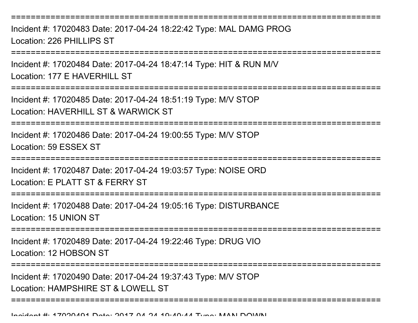Incident #: 17020483 Date: 2017-04-24 18:22:42 Type: MAL DAMG PROGLocation: 226 PHILLIPS ST

===========================================================================

Incident #: 17020484 Date: 2017-04-24 18:47:14 Type: HIT & RUN M/VLocation: 177 E HAVERHILL ST

===========================================================================

Incident #: 17020485 Date: 2017-04-24 18:51:19 Type: M/V STOPLocation: HAVERHILL ST & WARWICK ST

===========================================================================

Incident #: 17020486 Date: 2017-04-24 19:00:55 Type: M/V STOPLocation: 59 ESSEX ST

===========================

Incident #: 17020487 Date: 2017-04-24 19:03:57 Type: NOISE ORDLocation: F PLATT ST & FFRRY ST

===========================================================================

Incident #: 17020488 Date: 2017-04-24 19:05:16 Type: DISTURBANCELocation: 15 UNION ST

===========================================================================

Incident #: 17020489 Date: 2017-04-24 19:22:46 Type: DRUG VIOLocation: 12 HOBSON ST

===========================================================================

Incident #: 17020490 Date: 2017-04-24 19:37:43 Type: M/V STOP

Location: HAMPSHIRE ST & LOWELL ST

===========================================================================

Incident #: 17020491 Date: 2017 <sup>04</sup> 24 19:40:44 Type: MAN DOWN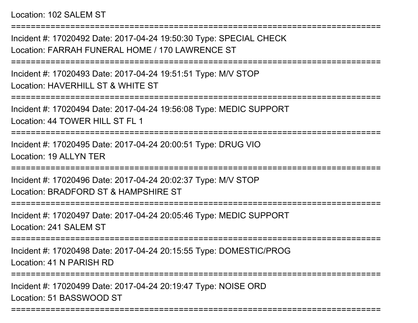#### Location: 102 SALEM ST

===========================================================================

Incident #: 17020492 Date: 2017-04-24 19:50:30 Type: SPECIAL CHECKLocation: FARRAH FUNERAL HOME / 170 LAWRENCE ST

===========================================================================

Incident #: 17020493 Date: 2017-04-24 19:51:51 Type: M/V STOPLocation: HAVERHILL ST & WHITE ST

===========================================================================

Incident #: 17020494 Date: 2017-04-24 19:56:08 Type: MEDIC SUPPORTLocation: 44 TOWER HILL ST FL 1

===========================================================================

Incident #: 17020495 Date: 2017-04-24 20:00:51 Type: DRUG VIOLocation: 19 ALLYN TER

===========================================================================

Incident #: 17020496 Date: 2017-04-24 20:02:37 Type: M/V STOPLocation: BRADFORD ST & HAMPSHIRE ST

===========================================================================

Incident #: 17020497 Date: 2017-04-24 20:05:46 Type: MEDIC SUPPORTLocation: 241 SALEM ST

===========================================================================

Incident #: 17020498 Date: 2017-04-24 20:15:55 Type: DOMESTIC/PROGLocation: 41 N PARISH RD

===========================================================================

===========================================================================

Incident #: 17020499 Date: 2017-04-24 20:19:47 Type: NOISE ORDLocation: 51 BASSWOOD ST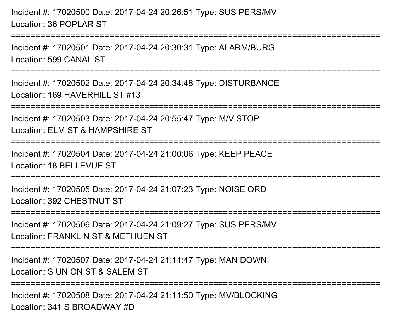## Incident #: 17020500 Date: 2017-04-24 20:26:51 Type: SUS PERS/MVLocation: 36 POPLAR ST

===========================================================================

Incident #: 17020501 Date: 2017-04-24 20:30:31 Type: ALARM/BURGLocation: 599 CANAL ST

===========================================================================

Incident #: 17020502 Date: 2017-04-24 20:34:48 Type: DISTURBANCELocation: 169 HAVERHILL ST #13

===========================================================================

Incident #: 17020503 Date: 2017-04-24 20:55:47 Type: M/V STOP

Location: ELM ST & HAMPSHIRE ST

===========================================================================

Incident #: 17020504 Date: 2017-04-24 21:00:06 Type: KEEP PEACELocation: 18 BELLEVUE ST

===========================================================================

Incident #: 17020505 Date: 2017-04-24 21:07:23 Type: NOISE ORDLocation: 392 CHESTNUT ST

===========================================================================

Incident #: 17020506 Date: 2017-04-24 21:09:27 Type: SUS PERS/MV

Location: FRANKLIN ST & METHUEN ST

===========================================================================

Incident #: 17020507 Date: 2017-04-24 21:11:47 Type: MAN DOWNLocation: S UNION ST & SALEM ST

**================** 

Incident #: 17020508 Date: 2017-04-24 21:11:50 Type: MV/BLOCKINGLocation: 341 S BROADWAY #D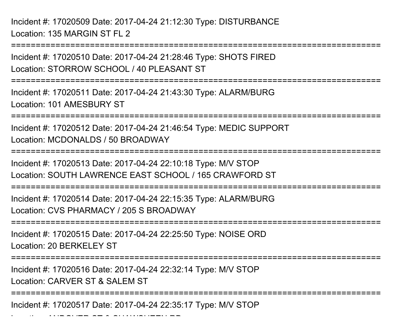Incident #: 17020509 Date: 2017-04-24 21:12:30 Type: DISTURBANCELocation: 135 MARGIN ST FL 2

 $\mathcal{L}$  and  $\mathcal{L}$  and  $\mathcal{L}$  and  $\mathcal{L}$  are  $\mathcal{L}$  and  $\mathcal{L}$  and  $\mathcal{L}$  are  $\mathcal{L}$ 

===========================================================================Incident #: 17020510 Date: 2017-04-24 21:28:46 Type: SHOTS FIREDLocation: STORROW SCHOOL / 40 PLEASANT ST===========================================================================Incident #: 17020511 Date: 2017-04-24 21:43:30 Type: ALARM/BURGLocation: 101 AMESBURY ST========================= Incident #: 17020512 Date: 2017-04-24 21:46:54 Type: MEDIC SUPPORTLocation: MCDONALDS / 50 BROADWAY===========================================================================Incident #: 17020513 Date: 2017-04-24 22:10:18 Type: M/V STOP Location: SOUTH LAWRENCE EAST SCHOOL / 165 CRAWFORD ST===========================================================================Incident #: 17020514 Date: 2017-04-24 22:15:35 Type: ALARM/BURGLocation: CVS PHARMACY / 205 S BROADWAY===========================================================================Incident #: 17020515 Date: 2017-04-24 22:25:50 Type: NOISE ORDLocation: 20 BERKELEY ST===========================================================================Incident #: 17020516 Date: 2017-04-24 22:32:14 Type: M/V STOPLocation: CARVER ST & SALEM ST===========================================================================Incident #: 17020517 Date: 2017-04-24 22:35:17 Type: M/V STOP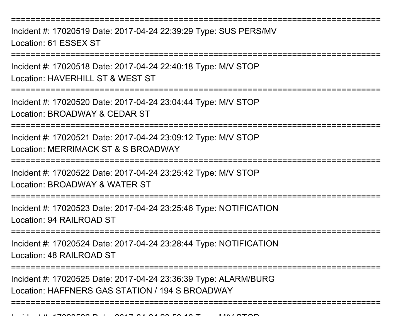Incident #: 17020519 Date: 2017-04-24 22:39:29 Type: SUS PERS/MVLocation: 61 ESSEX ST

===========================================================================

Incident #: 17020518 Date: 2017-04-24 22:40:18 Type: M/V STOPLocation: HAVERHILL ST & WEST ST

===========================================================================

Incident #: 17020520 Date: 2017-04-24 23:04:44 Type: M/V STOPLocation: BROADWAY & CEDAR ST

===========================================================================

Incident #: 17020521 Date: 2017-04-24 23:09:12 Type: M/V STOPLocation: MERRIMACK ST & S BROADWAY

===========================================================================

Incident #: 17020522 Date: 2017-04-24 23:25:42 Type: M/V STOP

Location: BROADWAY & WATER ST

===========================================================================

Incident #: 17020523 Date: 2017-04-24 23:25:46 Type: NOTIFICATIONLocation: 94 RAILROAD ST

===========================================================================

Incident #: 17020524 Date: 2017-04-24 23:28:44 Type: NOTIFICATIONLocation: 48 RAILROAD ST

===========================================================================

===========================================================================

Incident #: 17020525 Date: 2017-04-24 23:36:39 Type: ALARM/BURGLocation: HAFFNERS GAS STATION / 194 S BROADWAY